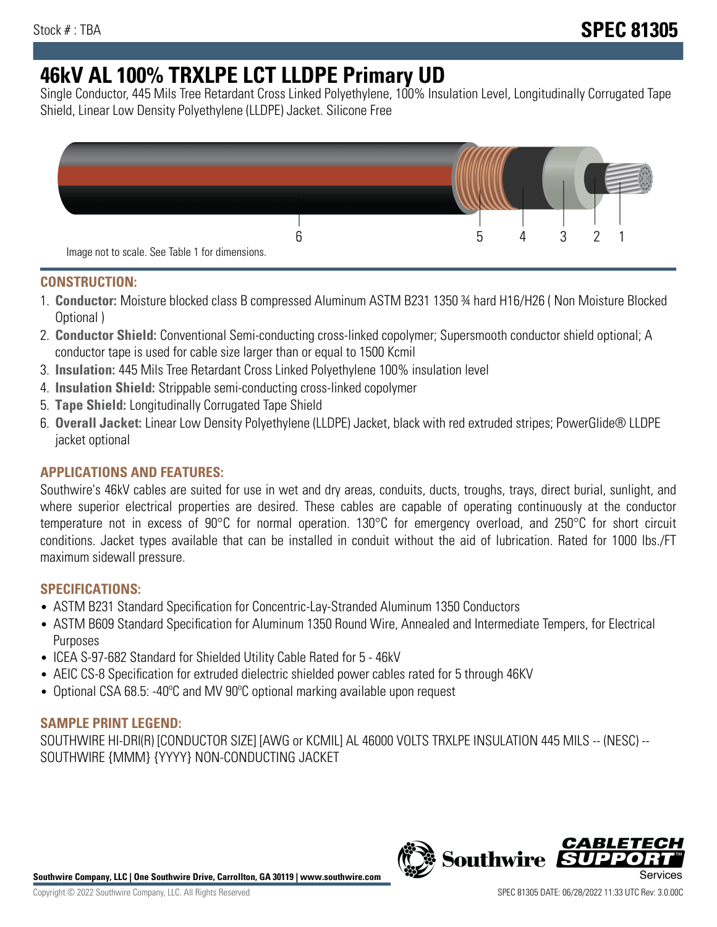# **46kV AL 100% TRXLPE LCT LLDPE Primary UD**

Single Conductor, 445 Mils Tree Retardant Cross Linked Polyethylene, 100% Insulation Level, Longitudinally Corrugated Tape Shield, Linear Low Density Polyethylene (LLDPE) Jacket. Silicone Free



#### **CONSTRUCTION:**

- 1. **Conductor:** Moisture blocked class B compressed Aluminum ASTM B231 1350 ¾ hard H16/H26 ( Non Moisture Blocked Optional )
- 2. **Conductor Shield:** Conventional Semi-conducting cross-linked copolymer; Supersmooth conductor shield optional; A conductor tape is used for cable size larger than or equal to 1500 Kcmil
- 3. **Insulation:** 445 Mils Tree Retardant Cross Linked Polyethylene 100% insulation level
- 4. **Insulation Shield:** Strippable semi-conducting cross-linked copolymer
- 5. **Tape Shield:** Longitudinally Corrugated Tape Shield
- 6. **Overall Jacket:** Linear Low Density Polyethylene (LLDPE) Jacket, black with red extruded stripes; PowerGlide® LLDPE jacket optional

## **APPLICATIONS AND FEATURES:**

Southwire's 46kV cables are suited for use in wet and dry areas, conduits, ducts, troughs, trays, direct burial, sunlight, and where superior electrical properties are desired. These cables are capable of operating continuously at the conductor temperature not in excess of 90°C for normal operation. 130°C for emergency overload, and 250°C for short circuit conditions. Jacket types available that can be installed in conduit without the aid of lubrication. Rated for 1000 lbs./FT maximum sidewall pressure.

#### **SPECIFICATIONS:**

- ASTM B231 Standard Specification for Concentric-Lay-Stranded Aluminum 1350 Conductors
- ASTM B609 Standard Specification for Aluminum 1350 Round Wire, Annealed and Intermediate Tempers, for Electrical Purposes
- ICEA S-97-682 Standard for Shielded Utility Cable Rated for 5 46kV
- AEIC CS-8 Specification for extruded dielectric shielded power cables rated for 5 through 46KV
- Optional CSA 68.5: -40°C and MV 90°C optional marking available upon request

## **SAMPLE PRINT LEGEND:**

SOUTHWIRE HI-DRI(R) [CONDUCTOR SIZE] [AWG or KCMIL] AL 46000 VOLTS TRXLPE INSULATION 445 MILS -- (NESC) -- SOUTHWIRE {MMM} {YYYY} NON-CONDUCTING JACKET



**Southwire** 

*CABLE*